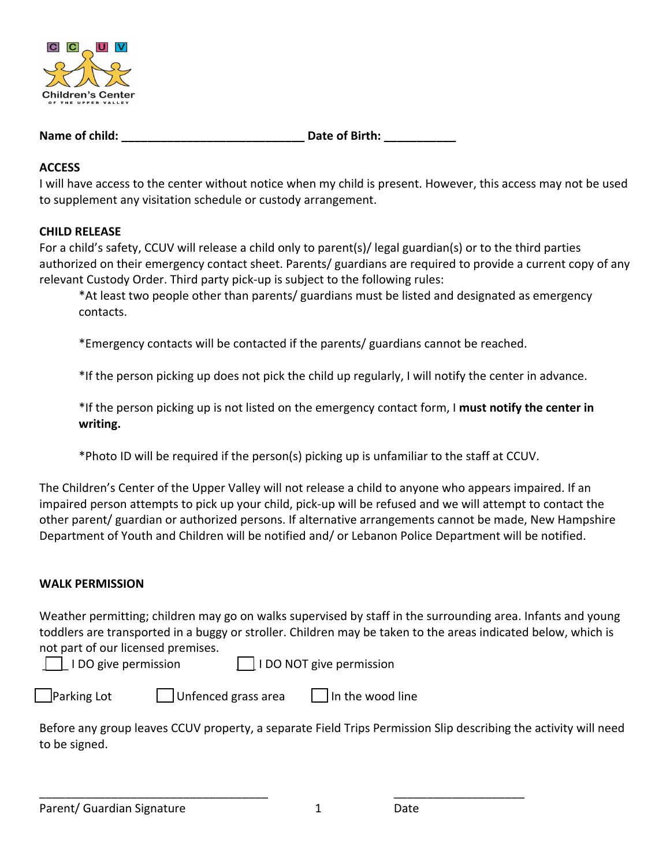

**Name of child: Date of Birth: Date** of Birth:

### **ACCESS**

I will have access to the center without notice when my child is present. However, this access may not be used to supplement any visitation schedule or custody arrangement.

#### **CHILD RELEASE**

For a child's safety, CCUV will release a child only to parent(s)/ legal guardian(s) or to the third parties authorized on their emergency contact sheet. Parents/ guardians are required to provide a current copy of any relevant Custody Order. Third party pick-up is subject to the following rules:

\*At least two people other than parents/ guardians must be listed and designated as emergency contacts.

\*Emergency contacts will be contacted if the parents/ guardians cannot be reached.

\*If the person picking up does not pick the child up regularly, I will notify the center in advance.

\*If the person picking up is not listed on the emergency contact form, I **must notify the center in writing.**

\*Photo ID will be required if the person(s) picking up is unfamiliar to the staff at CCUV.

The Children's Center of the Upper Valley will not release a child to anyone who appears impaired. If an impaired person attempts to pick up your child, pick-up will be refused and we will attempt to contact the other parent/ guardian or authorized persons. If alternative arrangements cannot be made, New Hampshire Department of Youth and Children will be notified and/ or Lebanon Police Department will be notified.

## **WALK PERMISSION**

Weather permitting; children may go on walks supervised by staff in the surrounding area. Infants and young toddlers are transported in a buggy or stroller. Children may be taken to the areas indicated below, which is not part of our licensed premises.

\_\_\_\_ I DO give permission \_\_\_ I DO NOT give permission

 $\lvert$ Parking Lot  $\lvert$  Unfenced grass area  $\lvert$  In the wood line

Before any group leaves CCUV property, a separate Field Trips Permission Slip describing the activity will need to be signed.

\_\_\_\_\_\_\_\_\_\_\_\_\_\_\_\_\_\_\_\_\_\_\_\_\_\_\_\_\_\_\_\_\_\_\_ \_\_\_\_\_\_\_\_\_\_\_\_\_\_\_\_\_\_\_\_